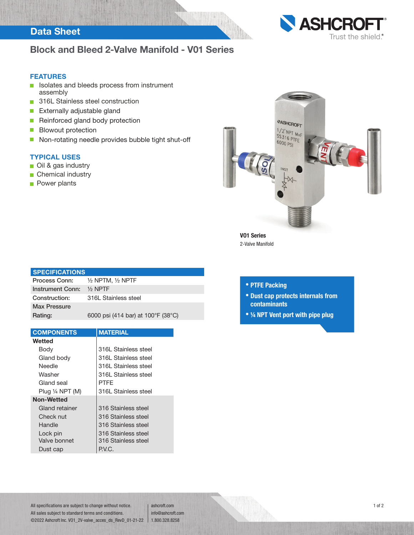## Data Sheet



## Block and Bleed 2-Valve Manifold - V01 Series

#### FEATURES

- **In Isolates and bleeds process from instrument** assembly
- 316L Stainless steel construction
- $\mathcal{L}_{\mathcal{A}}$ Externally adjustable gland
- Reinforced gland body protection  $\mathcal{L}_{\mathcal{A}}$
- $\overline{\phantom{a}}$ Blowout protection
- Non-rotating needle provides bubble tight shut-off  $\blacksquare$

### TYPICAL USES

- Oil & gas industry
- **Chemical industry**
- **Power plants**



VO1 Series 2-Valve Manifold

| <b>SPECIFICATIONS</b>                  |
|----------------------------------------|
| $\frac{1}{2}$ NPTM, $\frac{1}{2}$ NPTF |
| $\frac{1}{2}$ NPTF                     |
| 316L Stainless steel                   |
|                                        |
| 6000 psi (414 bar) at 100°F (38°C)     |
|                                        |

| <b>COMPONENTS</b>          | <b>MATERIAL</b>      |
|----------------------------|----------------------|
| Wetted                     |                      |
| Body                       | 316L Stainless steel |
| Gland body                 | 316L Stainless steel |
| Needle                     | 316L Stainless steel |
| Washer                     | 316L Stainless steel |
| Gland seal                 | PTFF                 |
| Plug $\frac{1}{4}$ NPT (M) | 316L Stainless steel |
| <b>Non-Wetted</b>          |                      |
| Gland retainer             | 316 Stainless steel  |
| Check nut                  | 316 Stainless steel  |
| Handle                     | 316 Stainless steel  |
| Lock pin                   | 316 Stainless steel  |
| Valve bonnet               | 316 Stainless steel  |
| Dust cap                   | P.V.C.               |

### • PTFE Packing

- Dust cap protects internals from contaminants
- ¼ NPT Vent port with pipe plug

All specifications are subject to change without notice. All sales subject to standard terms and conditions. ©2022 Ashcroft Inc. VO1\_2V-valve\_acces\_ds\_RevD\_01-21-22 1.800.328.8258

ashcroft.com info@ashcroft.com